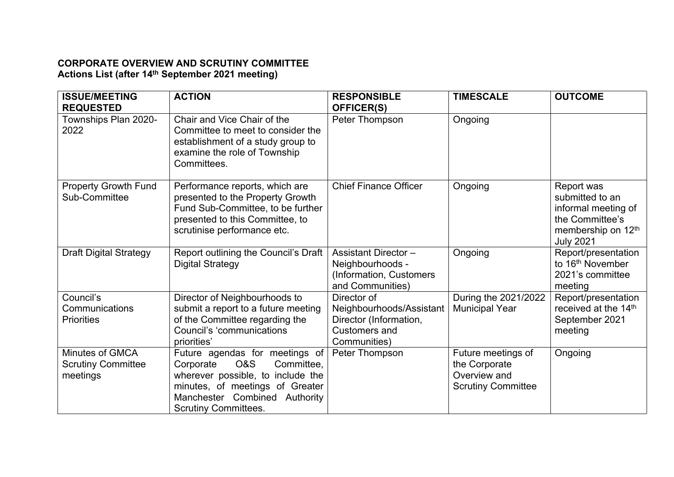## **CORPORATE OVERVIEW AND SCRUTINY COMMITTEE Actions List (after 14th September 2021 meeting)**

| <b>ISSUE/MEETING</b><br><b>REQUESTED</b>                 | <b>ACTION</b>                                                                                                                                                                                            | <b>RESPONSIBLE</b><br><b>OFFICER(S)</b>                                                            | <b>TIMESCALE</b>                                                                 | <b>OUTCOME</b>                                                                                                    |
|----------------------------------------------------------|----------------------------------------------------------------------------------------------------------------------------------------------------------------------------------------------------------|----------------------------------------------------------------------------------------------------|----------------------------------------------------------------------------------|-------------------------------------------------------------------------------------------------------------------|
| Townships Plan 2020-<br>2022                             | Chair and Vice Chair of the<br>Committee to meet to consider the<br>establishment of a study group to<br>examine the role of Township<br>Committees.                                                     | Peter Thompson                                                                                     | Ongoing                                                                          |                                                                                                                   |
| <b>Property Growth Fund</b><br>Sub-Committee             | Performance reports, which are<br>presented to the Property Growth<br>Fund Sub-Committee, to be further<br>presented to this Committee, to<br>scrutinise performance etc.                                | <b>Chief Finance Officer</b>                                                                       | Ongoing                                                                          | Report was<br>submitted to an<br>informal meeting of<br>the Committee's<br>membership on 12th<br><b>July 2021</b> |
| <b>Draft Digital Strategy</b>                            | Report outlining the Council's Draft<br><b>Digital Strategy</b>                                                                                                                                          | <b>Assistant Director -</b><br>Neighbourhoods -<br>(Information, Customers<br>and Communities)     | Ongoing                                                                          | Report/presentation<br>to 16 <sup>th</sup> November<br>2021's committee<br>meeting                                |
| Council's<br>Communications<br><b>Priorities</b>         | Director of Neighbourhoods to<br>submit a report to a future meeting<br>of the Committee regarding the<br>Council's 'communications<br>priorities'                                                       | Director of<br>Neighbourhoods/Assistant<br>Director (Information,<br>Customers and<br>Communities) | During the 2021/2022<br><b>Municipal Year</b>                                    | Report/presentation<br>received at the 14th<br>September 2021<br>meeting                                          |
| Minutes of GMCA<br><b>Scrutiny Committee</b><br>meetings | Future agendas for meetings of<br>O&S<br>Committee,<br>Corporate<br>wherever possible, to include the<br>minutes, of meetings of Greater<br>Manchester Combined Authority<br><b>Scrutiny Committees.</b> | Peter Thompson                                                                                     | Future meetings of<br>the Corporate<br>Overview and<br><b>Scrutiny Committee</b> | Ongoing                                                                                                           |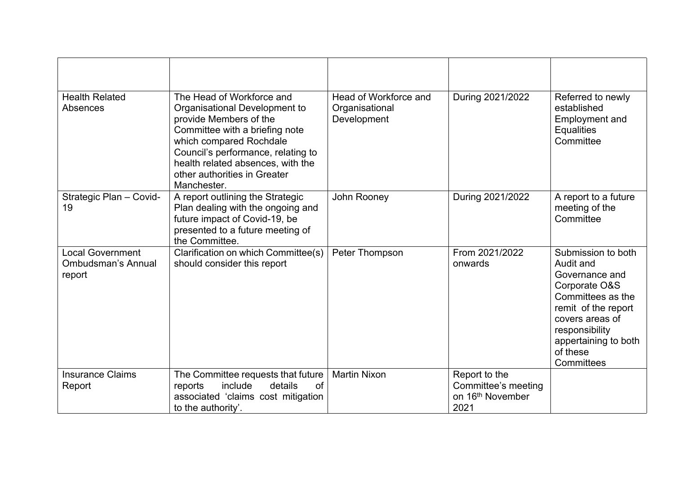| <b>Health Related</b><br>Absences                       | The Head of Workforce and<br>Organisational Development to<br>provide Members of the<br>Committee with a briefing note<br>which compared Rochdale<br>Council's performance, relating to<br>health related absences, with the<br>other authorities in Greater<br>Manchester. | Head of Workforce and<br>Organisational<br>Development | During 2021/2022                                                             | Referred to newly<br>established<br><b>Employment and</b><br><b>Equalities</b><br>Committee                                                                                                           |
|---------------------------------------------------------|-----------------------------------------------------------------------------------------------------------------------------------------------------------------------------------------------------------------------------------------------------------------------------|--------------------------------------------------------|------------------------------------------------------------------------------|-------------------------------------------------------------------------------------------------------------------------------------------------------------------------------------------------------|
| Strategic Plan - Covid-<br>19                           | A report outlining the Strategic<br>Plan dealing with the ongoing and<br>future impact of Covid-19, be<br>presented to a future meeting of<br>the Committee.                                                                                                                | John Rooney                                            | During 2021/2022                                                             | A report to a future<br>meeting of the<br>Committee                                                                                                                                                   |
| <b>Local Government</b><br>Ombudsman's Annual<br>report | Clarification on which Committee(s)<br>should consider this report                                                                                                                                                                                                          | Peter Thompson                                         | From 2021/2022<br>onwards                                                    | Submission to both<br>Audit and<br>Governance and<br>Corporate O&S<br>Committees as the<br>remit of the report<br>covers areas of<br>responsibility<br>appertaining to both<br>of these<br>Committees |
| <b>Insurance Claims</b><br>Report                       | The Committee requests that future<br>include<br>reports<br>details<br><b>of</b><br>associated 'claims cost mitigation<br>to the authority'.                                                                                                                                | <b>Martin Nixon</b>                                    | Report to the<br>Committee's meeting<br>on 16 <sup>th</sup> November<br>2021 |                                                                                                                                                                                                       |